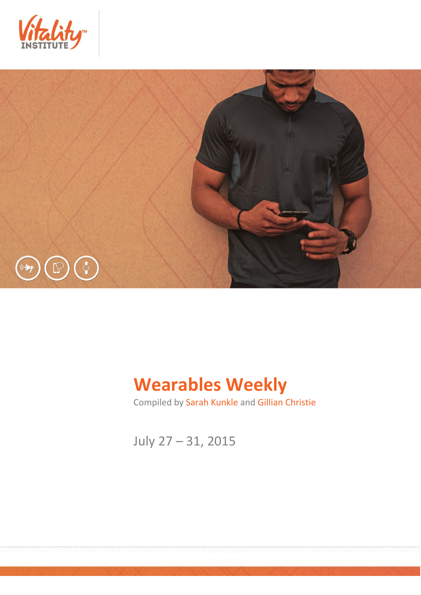



# **Wearables Weekly**

Compiled by Sarah Kunkle and Gillian Christie

July 27 – 31, 2015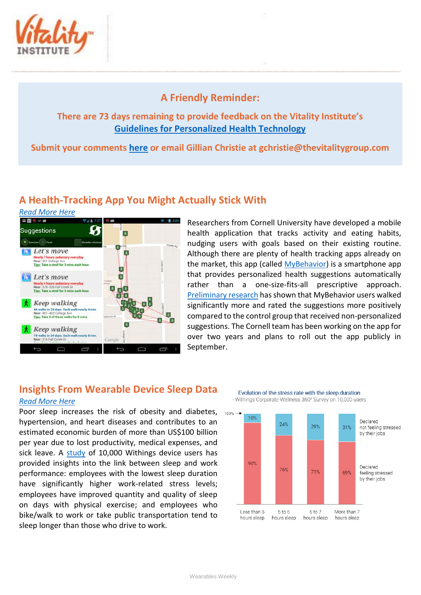

## **A Friendly Reminder:**

### **There are 73 days remaining to provide feedback on the Vitality Institute's [Guidelines for Personalized Health Technology](http://thevitalityinstitute.org/site/wp-content/uploads/2015/07/Responsibility-Guidelines-for-Personalized-Health-Technology.pdf)**

**Submit your comments [here](http://thevitalityinstitute.org/projects/personalized-health-technology/public-consultation/) or email Gillian Christie at [gchristie@thevitalitygroup.com](mailto:gchristie@thevitalitygroup.com?subject=Wearables%20Weekly%20Feedback)**

## **A Health-Tracking App You Might Actually Stick With**

*[Read More Here](http://www.technologyreview.com/news/539721/a-health-tracking-app-you-might-actually-stick-with/)* 



Researchers from Cornell University have developed a mobile health application that tracks activity and eating habits, nudging users with goals based on their existing routine. Although there are plenty of health tracking apps already on the market, this app (called [MyBehavior\)](http://idl.cornell.edu/projects/mybehavior/) is a smartphone app that provides personalized health suggestions automatically rather than a one-size-fits-all prescriptive approach. [Preliminary research](http://mhealth.jmir.org/2015/2/e42/) has shown that MyBehavior users walked significantly more and rated the suggestions more positively compared to the control group that received non-personalized suggestions. The Cornell team has been working on the app for over two years and plans to roll out the app publicly in September.

## **Insights From Wearable Device Sleep Data**

#### *[Read More Here](http://blog.wellable.co/2015/07/28/insights-from-wearable-device-sleep-data/)*

Poor sleep increases the risk of obesity and diabetes, hypertension, and heart diseases and contributes to an estimated economic burden of more than US\$100 billion per year due to lost productivity, medical expenses, and sick leave. A [study](http://blog.withings.com/2014/11/04/study-of-the-sleep-patterns/) of 10,000 Withings device users has provided insights into the link between sleep and work performance: employees with the lowest sleep duration have significantly higher work-related stress levels; employees have improved quantity and quality of sleep on days with physical exercise; and employees who bike/walk to work or take public transportation tend to sleep longer than those who drive to work.